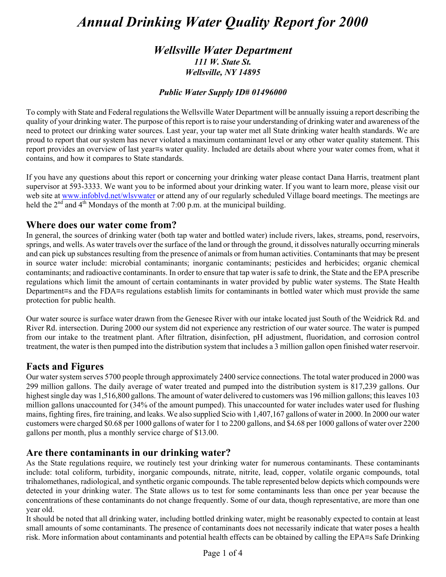# *Annual Drinking Water Quality Report for 2000*

# *Wellsville Water Department 111 W. State St. Wellsville, NY 14895*

### *Public Water Supply ID# 01496000*

To comply with State and Federal regulations the Wellsville Water Department will be annually issuing a report describing the quality of your drinking water. The purpose of this report is to raise your understanding of drinking water and awareness of the need to protect our drinking water sources. Last year, your tap water met all State drinking water health standards. We are proud to report that our system has never violated a maximum contaminant level or any other water quality statement. This report provides an overview of last year=s water quality. Included are details about where your water comes from, what it contains, and how it compares to State standards.

If you have any questions about this report or concerning your drinking water please contact Dana Harris, treatment plant supervisor at 593-3333. We want you to be informed about your drinking water. If you want to learn more, please visit our web site at www.infoblvd.net/wlsvwater or attend any of our regularly scheduled Village board meetings. The meetings are held the  $2<sup>nd</sup>$  and  $4<sup>th</sup>$  Mondays of the month at 7:00 p.m. at the municipal building.

# **Where does our water come from?**

In general, the sources of drinking water (both tap water and bottled water) include rivers, lakes, streams, pond, reservoirs, springs, and wells. As water travels over the surface of the land or through the ground, it dissolves naturally occurring minerals and can pick up substances resulting from the presence of animals or from human activities. Contaminants that may be present in source water include: microbial contaminants; inorganic contaminants; pesticides and herbicides; organic chemical contaminants; and radioactive contaminants. In order to ensure that tap water is safe to drink, the State and the EPA prescribe regulations which limit the amount of certain contaminants in water provided by public water systems. The State Health Department=s and the FDA=s regulations establish limits for contaminants in bottled water which must provide the same protection for public health.

Our water source is surface water drawn from the Genesee River with our intake located just South of the Weidrick Rd. and River Rd. intersection. During 2000 our system did not experience any restriction of our water source. The water is pumped from our intake to the treatment plant. After filtration, disinfection, pH adjustment, fluoridation, and corrosion control treatment, the water is then pumped into the distribution system that includes a 3 million gallon open finished water reservoir.

# **Facts and Figures**

Our water system serves 5700 people through approximately 2400 service connections. The total water produced in 2000 was 299 million gallons. The daily average of water treated and pumped into the distribution system is 817,239 gallons. Our highest single day was 1,516,800 gallons. The amount of water delivered to customers was 196 million gallons; this leaves 103 million gallons unaccounted for (34% of the amount pumped). This unaccounted for water includes water used for flushing mains, fighting fires, fire training, and leaks. We also supplied Scio with 1,407,167 gallons of water in 2000. In 2000 our water customers were charged \$0.68 per 1000 gallons of water for 1 to 2200 gallons, and \$4.68 per 1000 gallons of water over 2200 gallons per month, plus a monthly service charge of \$13.00.

# **Are there contaminants in our drinking water?**

As the State regulations require, we routinely test your drinking water for numerous contaminants. These contaminants include: total coliform, turbidity, inorganic compounds, nitrate, nitrite, lead, copper, volatile organic compounds, total trihalomethanes, radiological, and synthetic organic compounds. The table represented below depicts which compounds were detected in your drinking water. The State allows us to test for some contaminants less than once per year because the concentrations of these contaminants do not change frequently. Some of our data, though representative, are more than one year old.

It should be noted that all drinking water, including bottled drinking water, might be reasonably expected to contain at least small amounts of some contaminants. The presence of contaminants does not necessarily indicate that water poses a health risk. More information about contaminants and potential health effects can be obtained by calling the EPA=s Safe Drinking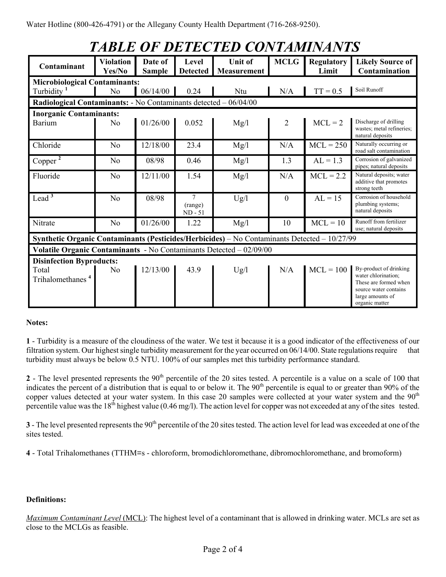| <b>TABLE OF DETECTED CONTAMINANTS</b>                                                        |                            |                          |                                        |                               |              |                            |                                                                                                 |
|----------------------------------------------------------------------------------------------|----------------------------|--------------------------|----------------------------------------|-------------------------------|--------------|----------------------------|-------------------------------------------------------------------------------------------------|
| Contaminant                                                                                  | <b>Violation</b><br>Yes/No | Date of<br><b>Sample</b> | Level<br><b>Detected</b>               | <b>Unit of</b><br>Measurement | <b>MCLG</b>  | <b>Regulatory</b><br>Limit | <b>Likely Source of</b><br>Contamination                                                        |
| <b>Microbiological Contaminants:</b>                                                         |                            |                          |                                        |                               |              |                            |                                                                                                 |
| Turbidity <sup>1</sup>                                                                       | No                         | 06/14/00                 | 0.24                                   | Ntu                           | N/A          | $TT = 0.5$                 | Soil Runoff                                                                                     |
| Radiological Contaminants: - No Contaminants detected - 06/04/00                             |                            |                          |                                        |                               |              |                            |                                                                                                 |
| <b>Inorganic Contaminants:</b>                                                               |                            |                          |                                        |                               |              |                            |                                                                                                 |
| Barium                                                                                       | N <sub>0</sub>             | 01/26/00                 | 0.052                                  | Mg/l                          | 2            | $MCL = 2$                  | Discharge of drilling<br>wastes; metal refineries;<br>natural deposits                          |
| Chloride                                                                                     | N <sub>o</sub>             | 12/18/00                 | 23.4                                   | Mg/l                          | N/A          | $MCL = 250$                | Naturally occurring or<br>road salt contamination                                               |
| Copper <sup>2</sup>                                                                          | N <sub>0</sub>             | 08/98                    | 0.46                                   | Mg/l                          | 1.3          | $AL = 1.3$                 | Corrosion of galvanized<br>pipes; natural deposits                                              |
| Fluoride                                                                                     | N <sub>o</sub>             | 12/11/00                 | 1.54                                   | Mg/l                          | N/A          | $MCL = 2.2$                | Natural deposits; water<br>additive that promotes<br>strong teeth                               |
| Lead $3$                                                                                     | N <sub>o</sub>             | 08/98                    | $\overline{7}$<br>(range)<br>$ND - 51$ | Ug/l                          | $\mathbf{0}$ | $AL = 15$                  | Corrosion of household<br>plumbing systems;<br>natural deposits                                 |
| Nitrate                                                                                      | N <sub>0</sub>             | 01/26/00                 | 1.22                                   | Mg/l                          | 10           | $MCL = 10$                 | Runoff from fertilizer<br>use; natural deposits                                                 |
| Synthetic Organic Contaminants (Pesticides/Herbicides) - No Contaminants Detected - 10/27/99 |                            |                          |                                        |                               |              |                            |                                                                                                 |
| Volatile Organic Contaminants - No Contaminants Detected - 02/09/00                          |                            |                          |                                        |                               |              |                            |                                                                                                 |
| <b>Disinfection Byproducts:</b>                                                              |                            |                          |                                        |                               |              |                            |                                                                                                 |
| Total<br>Trihalomethanes <sup>4</sup>                                                        | N <sub>0</sub>             | 12/13/00                 | 43.9                                   | Ug/l                          | N/A          | $MCL = 100$                | By-product of drinking<br>water chlorination;<br>These are formed when<br>source water contains |

#### **Notes:**

**1** - Turbidity is a measure of the cloudiness of the water. We test it because it is a good indicator of the effectiveness of our filtration system. Our highest single turbidity measurement for the year occurred on 06/14/00. State regulations require that turbidity must always be below 0.5 NTU. 100% of our samples met this turbidity performance standard.

large amounts of organic matter

**2** - The level presented represents the  $90<sup>th</sup>$  percentile of the 20 sites tested. A percentile is a value on a scale of 100 that indicates the percent of a distribution that is equal to or below it. The  $90<sup>th</sup>$  percentile is equal to or greater than  $90<sup>th</sup>$  of the copper values detected at your water system. In this case 20 samples were collected at your water system and the  $90<sup>th</sup>$ percentile value was the  $18<sup>th</sup>$  highest value (0.46 mg/l). The action level for copper was not exceeded at any of the sites tested.

**3** - The level presented represents the 90<sup>th</sup> percentile of the 20 sites tested. The action level for lead was exceeded at one of the sites tested.

**4** - Total Trihalomethanes (TTHM=s - chloroform, bromodichloromethane, dibromochloromethane, and bromoform)

#### **Definitions:**

*Maximum Contaminant Level* (MCL): The highest level of a contaminant that is allowed in drinking water. MCLs are set as close to the MCLGs as feasible.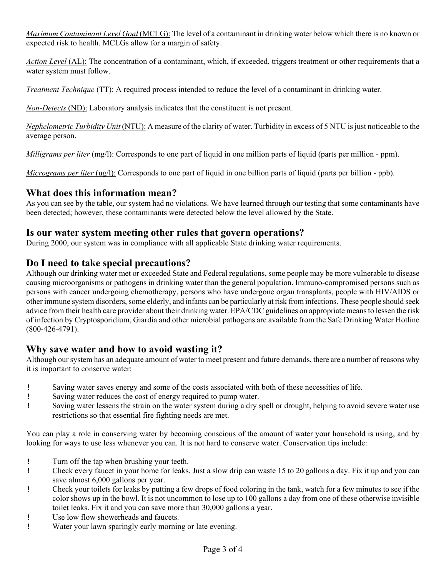*Maximum Contaminant Level Goal* (MCLG): The level of a contaminant in drinking water below which there is no known or expected risk to health. MCLGs allow for a margin of safety.

*Action Level* (AL): The concentration of a contaminant, which, if exceeded, triggers treatment or other requirements that a water system must follow.

*Treatment Technique* (TT): A required process intended to reduce the level of a contaminant in drinking water.

*Non-Detects* (ND): Laboratory analysis indicates that the constituent is not present.

*Nephelometric Turbidity Unit* (NTU): A measure of the clarity of water. Turbidity in excess of 5 NTU is just noticeable to the average person.

*Milligrams per liter* (mg/l): Corresponds to one part of liquid in one million parts of liquid (parts per million - ppm).

*Micrograms per liter* (ug/l): Corresponds to one part of liquid in one billion parts of liquid (parts per billion - ppb).

## **What does this information mean?**

As you can see by the table, our system had no violations. We have learned through our testing that some contaminants have been detected; however, these contaminants were detected below the level allowed by the State.

## **Is our water system meeting other rules that govern operations?**

During 2000, our system was in compliance with all applicable State drinking water requirements.

# **Do I need to take special precautions?**

Although our drinking water met or exceeded State and Federal regulations, some people may be more vulnerable to disease causing microorganisms or pathogens in drinking water than the general population. Immuno-compromised persons such as persons with cancer undergoing chemotherapy, persons who have undergone organ transplants, people with HIV/AIDS or other immune system disorders, some elderly, and infants can be particularly at risk from infections. These people should seek advice from their health care provider about their drinking water. EPA/CDC guidelines on appropriate means to lessen the risk of infection by Cryptosporidium, Giardia and other microbial pathogens are available from the Safe Drinking Water Hotline (800-426-4791).

# **Why save water and how to avoid wasting it?**

Although our system has an adequate amount of water to meet present and future demands, there are a number of reasons why it is important to conserve water:

- ! Saving water saves energy and some of the costs associated with both of these necessities of life.
- ! Saving water reduces the cost of energy required to pump water.
- ! Saving water lessens the strain on the water system during a dry spell or drought, helping to avoid severe water use restrictions so that essential fire fighting needs are met.

You can play a role in conserving water by becoming conscious of the amount of water your household is using, and by looking for ways to use less whenever you can. It is not hard to conserve water. Conservation tips include:

- ! Turn off the tap when brushing your teeth.
- ! Check every faucet in your home for leaks. Just a slow drip can waste 15 to 20 gallons a day. Fix it up and you can save almost 6,000 gallons per year.
- ! Check your toilets for leaks by putting a few drops of food coloring in the tank, watch for a few minutes to see if the color shows up in the bowl. It is not uncommon to lose up to 100 gallons a day from one of these otherwise invisible toilet leaks. Fix it and you can save more than 30,000 gallons a year.
- ! Use low flow showerheads and faucets.
- ! Water your lawn sparingly early morning or late evening.